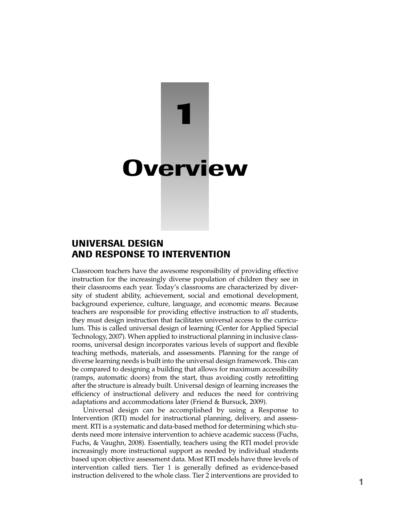# **1 Overview**

# **UNIVERSAL DESIGN AND RESPONSE TO INTERVENTION**

Classroom teachers have the awesome responsibility of providing effective instruction for the increasingly diverse population of children they see in their classrooms each year. Today's classrooms are characterized by diversity of student ability, achievement, social and emotional development, background experience, culture, language, and economic means. Because teachers are responsible for providing effective instruction to *all* students, they must design instruction that facilitates universal access to the curriculum. This is called universal design of learning (Center for Applied Special Technology, 2007). When applied to instructional planning in inclusive classrooms, universal design incorporates various levels of support and flexible teaching methods, materials, and assessments. Planning for the range of diverse learning needs is built into the universal design framework. This can be compared to designing a building that allows for maximum accessibility (ramps, automatic doors) from the start, thus avoiding costly retrofitting after the structure is already built. Universal design of learning increases the efficiency of instructional delivery and reduces the need for contriving adaptations and accommodations later (Friend & Bursuck, 2009).

Universal design can be accomplished by using a Response to Intervention (RTI) model for instructional planning, delivery, and assessment. RTI is a systematic and data-based method for determining which students need more intensive intervention to achieve academic success (Fuchs, Fuchs, & Vaughn, 2008). Essentially, teachers using the RTI model provide increasingly more instructional support as needed by individual students based upon objective assessment data. Most RTI models have three levels of intervention called tiers. Tier 1 is generally defined as evidence-based instruction delivered to the whole class. Tier 2 interventions are provided to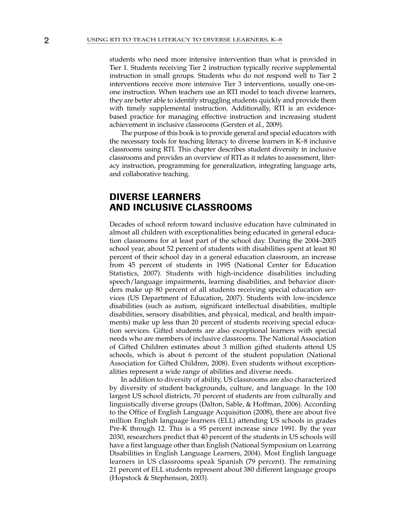students who need more intensive intervention than what is provided in Tier 1. Students receiving Tier 2 instruction typically receive supplemental instruction in small groups. Students who do not respond well to Tier 2 interventions receive more intensive Tier 3 interventions, usually one-onone instruction. When teachers use an RTI model to teach diverse learners, they are better able to identify struggling students quickly and provide them with timely supplemental instruction. Additionally, RTI is an evidencebased practice for managing effective instruction and increasing student achievement in inclusive classrooms (Gersten et al., 2009).

The purpose of this book is to provide general and special educators with the necessary tools for teaching literacy to diverse learners in K–8 inclusive classrooms using RTI. This chapter describes student diversity in inclusive classrooms and provides an overview of RTI as it relates to assessment, literacy instruction, programming for generalization, integrating language arts, and collaborative teaching.

# **DIVERSE LEARNERS AND INCLUSIVE CLASSROOMS**

Decades of school reform toward inclusive education have culminated in almost all children with exceptionalities being educated in general education classrooms for at least part of the school day. During the 2004–2005 school year, about 52 percent of students with disabilities spent at least 80 percent of their school day in a general education classroom, an increase from 45 percent of students in 1995 (National Center for Education Statistics, 2007). Students with high-incidence disabilities including speech/language impairments, learning disabilities, and behavior disorders make up 80 percent of all students receiving special education services (US Department of Education, 2007). Students with low-incidence disabilities (such as autism, significant intellectual disabilities, multiple disabilities, sensory disabilities, and physical, medical, and health impairments) make up less than 20 percent of students receiving special education services. Gifted students are also exceptional learners with special needs who are members of inclusive classrooms. The National Association of Gifted Children estimates about 3 million gifted students attend US schools, which is about 6 percent of the student population (National Association for Gifted Children, 2008). Even students without exceptionalities represent a wide range of abilities and diverse needs.

In addition to diversity of ability, US classrooms are also characterized by diversity of student backgrounds, culture, and language. In the 100 largest US school districts, 70 percent of students are from culturally and linguistically diverse groups (Dalton, Sable, & Hoffman, 2006). According to the Office of English Language Acquisition (2008), there are about five million English language learners (ELL) attending US schools in grades Pre-K through 12. This is a 95 percent increase since 1991. By the year 2030, researchers predict that 40 percent of the students in US schools will have a first language other than English (National Symposium on Learning Disabilities in English Language Learners, 2004). Most English language learners in US classrooms speak Spanish (79 percent). The remaining 21 percent of ELL students represent about 380 different language groups (Hopstock & Stephenson, 2003).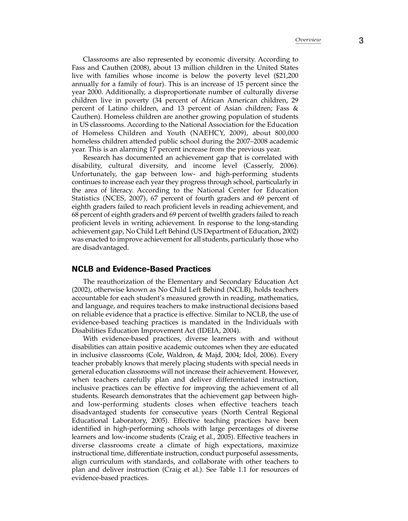Classrooms are also represented by economic diversity. According to Fass and Cauthen (2008), about 13 million children in the United States live with families whose income is below the poverty level (\$21,200 annually for a family of four). This is an increase of 15 percent since the year 2000. Additionally, a disproportionate number of culturally diverse children live in poverty (34 percent of African American children, 29 percent of Latino children, and 13 percent of Asian children; Fass & Cauthen). Homeless children are another growing population of students in US classrooms. According to the National Association for the Education of Homeless Children and Youth (NAEHCY, 2009), about 800,000 homeless children attended public school during the 2007–2008 academic year. This is an alarming 17 percent increase from the previous year.

Research has documented an achievement gap that is correlated with disability, cultural diversity, and income level (Casserly, 2006). Unfortunately, the gap between low- and high-performing students continues to increase each year they progress through school, particularly in the area of literacy. According to the National Center for Education Statistics (NCES, 2007), 67 percent of fourth graders and 69 percent of eighth graders failed to reach proficient levels in reading achievement, and 68 percent of eighth graders and 69 percent of twelfth graders failed to reach proficient levels in writing achievement. In response to the long-standing achievement gap, No Child Left Behind (US Department of Education, 2002) was enacted to improve achievement for all students, particularly those who are disadvantaged.

### **NCLB and Evidence-Based Practices**

The reauthorization of the Elementary and Secondary Education Act (2002), otherwise known as No Child Left Behind (NCLB), holds teachers accountable for each student's measured growth in reading, mathematics, and language, and requires teachers to make instructional decisions based on reliable evidence that a practice is effective. Similar to NCLB, the use of evidence-based teaching practices is mandated in the Individuals with Disabilities Education Improvement Act (IDEIA, 2004).

With evidence-based practices, diverse learners with and without disabilities can attain positive academic outcomes when they are educated in inclusive classrooms (Cole, Waldron, & Majd, 2004; Idol, 2006). Every teacher probably knows that merely placing students with special needs in general education classrooms will not increase their achievement. However, when teachers carefully plan and deliver differentiated instruction, inclusive practices can be effective for improving the achievement of all students. Research demonstrates that the achievement gap between highand low-performing students closes when effective teachers teach disadvantaged students for consecutive years (North Central Regional Educational Laboratory, 2005). Effective teaching practices have been identified in high-performing schools with large percentages of diverse learners and low-income students (Craig et al., 2005). Effective teachers in diverse classrooms create a climate of high expectations, maximize instructional time, differentiate instruction, conduct purposeful assessments, align curriculum with standards, and collaborate with other teachers to plan and deliver instruction (Craig et al.). See Table 1.1 for resources of evidence-based practices.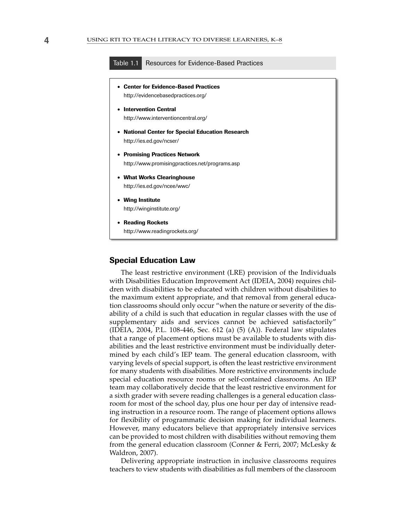

### **Special Education Law**

The least restrictive environment (LRE) provision of the Individuals with Disabilities Education Improvement Act (IDEIA, 2004) requires children with disabilities to be educated with children without disabilities to the maximum extent appropriate, and that removal from general education classrooms should only occur "when the nature or severity of the disability of a child is such that education in regular classes with the use of supplementary aids and services cannot be achieved satisfactorily" (IDEIA, 2004, P.L. 108-446, Sec. 612 (a) (5) (A)). Federal law stipulates that a range of placement options must be available to students with disabilities and the least restrictive environment must be individually determined by each child's IEP team. The general education classroom, with varying levels of special support, is often the least restrictive environment for many students with disabilities. More restrictive environments include special education resource rooms or self-contained classrooms. An IEP team may collaboratively decide that the least restrictive environment for a sixth grader with severe reading challenges is a general education classroom for most of the school day, plus one hour per day of intensive reading instruction in a resource room. The range of placement options allows for flexibility of programmatic decision making for individual learners. However, many educators believe that appropriately intensive services can be provided to most children with disabilities without removing them from the general education classroom (Conner & Ferri, 2007; McLesky & Waldron, 2007).

Delivering appropriate instruction in inclusive classrooms requires teachers to view students with disabilities as full members of the classroom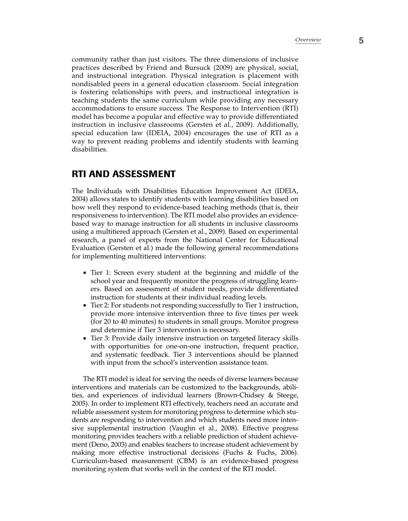community rather than just visitors. The three dimensions of inclusive practices described by Friend and Bursuck (2009) are physical, social, and instructional integration. Physical integration is placement with nondisabled peers in a general education classroom. Social integration is fostering relationships with peers, and instructional integration is teaching students the same curriculum while providing any necessary accommodations to ensure success. The Response to Intervention (RTI) model has become a popular and effective way to provide differentiated instruction in inclusive classrooms (Gersten et al., 2009). Additionally, special education law (IDEIA, 2004) encourages the use of RTI as a way to prevent reading problems and identify students with learning disabilities.

# **RTI AND ASSESSMENT**

The Individuals with Disabilities Education Improvement Act (IDEIA, 2004) allows states to identify students with learning disabilities based on how well they respond to evidence-based teaching methods (that is, their responsiveness to intervention). The RTI model also provides an evidencebased way to manage instruction for all students in inclusive classrooms using a multitiered approach (Gersten et al., 2009). Based on experimental research, a panel of experts from the National Center for Educational Evaluation (Gersten et al.) made the following general recommendations for implementing multitiered interventions:

- Tier 1: Screen every student at the beginning and middle of the school year and frequently monitor the progress of struggling learners. Based on assessment of student needs, provide differentiated instruction for students at their individual reading levels.
- Tier 2: For students not responding successfully to Tier 1 instruction, provide more intensive intervention three to five times per week (for 20 to 40 minutes) to students in small groups. Monitor progress and determine if Tier 3 intervention is necessary.
- Tier 3: Provide daily intensive instruction on targeted literacy skills with opportunities for one-on-one instruction, frequent practice, and systematic feedback. Tier 3 interventions should be planned with input from the school's intervention assistance team.

The RTI model is ideal for serving the needs of diverse learners because interventions and materials can be customized to the backgrounds, abilities, and experiences of individual learners (Brown-Chidsey & Steege, 2005). In order to implement RTI effectively, teachers need an accurate and reliable assessment system for monitoring progress to determine which students are responding to intervention and which students need more intensive supplemental instruction (Vaughn et al., 2008). Effective progress monitoring provides teachers with a reliable prediction of student achievement (Deno, 2003) and enables teachers to increase student achievement by making more effective instructional decisions (Fuchs & Fuchs, 2006). Curriculum-based measurement (CBM) is an evidence-based progress monitoring system that works well in the context of the RTI model.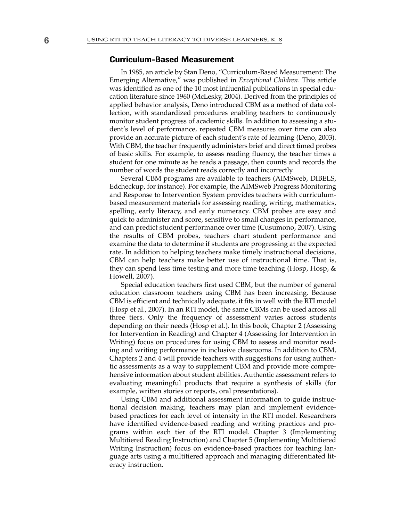## **Curriculum-Based Measurement**

In 1985, an article by Stan Deno, "Curriculum-Based Measurement: The Emerging Alternative," was published in *Exceptional Children.* This article was identified as one of the 10 most influential publications in special education literature since 1960 (McLesky, 2004). Derived from the principles of applied behavior analysis, Deno introduced CBM as a method of data collection, with standardized procedures enabling teachers to continuously monitor student progress of academic skills. In addition to assessing a student's level of performance, repeated CBM measures over time can also provide an accurate picture of each student's rate of learning (Deno, 2003). With CBM, the teacher frequently administers brief and direct timed probes of basic skills. For example, to assess reading fluency, the teacher times a student for one minute as he reads a passage, then counts and records the number of words the student reads correctly and incorrectly.

Several CBM programs are available to teachers (AIMSweb, DIBELS, Edcheckup, for instance). For example, the AIMSweb Progress Monitoring and Response to Intervention System provides teachers with curriculumbased measurement materials for assessing reading, writing, mathematics, spelling, early literacy, and early numeracy. CBM probes are easy and quick to administer and score, sensitive to small changes in performance, and can predict student performance over time (Cusumono, 2007). Using the results of CBM probes, teachers chart student performance and examine the data to determine if students are progressing at the expected rate. In addition to helping teachers make timely instructional decisions, CBM can help teachers make better use of instructional time. That is, they can spend less time testing and more time teaching (Hosp, Hosp, & Howell, 2007).

Special education teachers first used CBM, but the number of general education classroom teachers using CBM has been increasing. Because CBM is efficient and technically adequate, it fits in well with the RTI model (Hosp et al., 2007). In an RTI model, the same CBMs can be used across all three tiers. Only the frequency of assessment varies across students depending on their needs (Hosp et al.). In this book, Chapter 2 (Assessing for Intervention in Reading) and Chapter 4 (Assessing for Intervention in Writing) focus on procedures for using CBM to assess and monitor reading and writing performance in inclusive classrooms. In addition to CBM, Chapters 2 and 4 will provide teachers with suggestions for using authentic assessments as a way to supplement CBM and provide more comprehensive information about student abilities. Authentic assessment refers to evaluating meaningful products that require a synthesis of skills (for example, written stories or reports, oral presentations).

Using CBM and additional assessment information to guide instructional decision making, teachers may plan and implement evidencebased practices for each level of intensity in the RTI model. Researchers have identified evidence-based reading and writing practices and programs within each tier of the RTI model. Chapter 3 (Implementing Multitiered Reading Instruction) and Chapter 5 (Implementing Multitiered Writing Instruction) focus on evidence-based practices for teaching language arts using a multitiered approach and managing differentiated literacy instruction.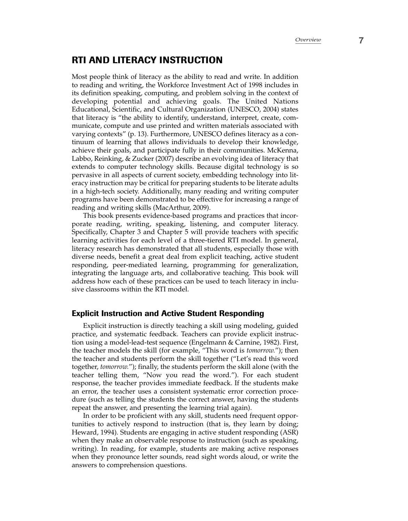# **RTI AND LITERACY INSTRUCTION**

Most people think of literacy as the ability to read and write. In addition to reading and writing, the Workforce Investment Act of 1998 includes in its definition speaking, computing, and problem solving in the context of developing potential and achieving goals. The United Nations Educational, Scientific, and Cultural Organization (UNESCO, 2004) states that literacy is "the ability to identify, understand, interpret, create, communicate, compute and use printed and written materials associated with varying contexts" (p. 13). Furthermore, UNESCO defines literacy as a continuum of learning that allows individuals to develop their knowledge, achieve their goals, and participate fully in their communities. McKenna, Labbo, Reinking, & Zucker (2007) describe an evolving idea of literacy that extends to computer technology skills. Because digital technology is so pervasive in all aspects of current society, embedding technology into literacy instruction may be critical for preparing students to be literate adults in a high-tech society. Additionally, many reading and writing computer programs have been demonstrated to be effective for increasing a range of reading and writing skills (MacArthur, 2009).

This book presents evidence-based programs and practices that incorporate reading, writing, speaking, listening, and computer literacy. Specifically, Chapter 3 and Chapter 5 will provide teachers with specific learning activities for each level of a three-tiered RTI model. In general, literacy research has demonstrated that all students, especially those with diverse needs, benefit a great deal from explicit teaching, active student responding, peer-mediated learning, programming for generalization, integrating the language arts, and collaborative teaching. This book will address how each of these practices can be used to teach literacy in inclusive classrooms within the RTI model.

# **Explicit Instruction and Active Student Responding**

Explicit instruction is directly teaching a skill using modeling, guided practice, and systematic feedback. Teachers can provide explicit instruction using a model-lead-test sequence (Engelmann & Carnine, 1982). First, the teacher models the skill (for example, "This word is *tomorrow.*"); then the teacher and students perform the skill together ("Let's read this word together, *tomorrow.*"); finally, the students perform the skill alone (with the teacher telling them, "Now you read the word."). For each student response, the teacher provides immediate feedback. If the students make an error, the teacher uses a consistent systematic error correction procedure (such as telling the students the correct answer, having the students repeat the answer, and presenting the learning trial again).

In order to be proficient with any skill, students need frequent opportunities to actively respond to instruction (that is, they learn by doing; Heward, 1994). Students are engaging in active student responding (ASR) when they make an observable response to instruction (such as speaking, writing). In reading, for example, students are making active responses when they pronounce letter sounds, read sight words aloud, or write the answers to comprehension questions.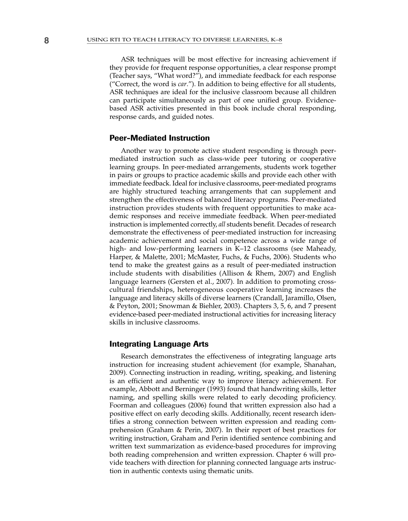ASR techniques will be most effective for increasing achievement if they provide for frequent response opportunities, a clear response prompt (Teacher says, "What word?"), and immediate feedback for each response ("Correct, the word is *car*."). In addition to being effective for all students, ASR techniques are ideal for the inclusive classroom because all children can participate simultaneously as part of one unified group. Evidencebased ASR activities presented in this book include choral responding, response cards, and guided notes.

### **Peer-Mediated Instruction**

Another way to promote active student responding is through peermediated instruction such as class-wide peer tutoring or cooperative learning groups. In peer-mediated arrangements, students work together in pairs or groups to practice academic skills and provide each other with immediate feedback. Ideal for inclusive classrooms, peer-mediated programs are highly structured teaching arrangements that can supplement and strengthen the effectiveness of balanced literacy programs. Peer-mediated instruction provides students with frequent opportunities to make academic responses and receive immediate feedback. When peer-mediated instruction is implemented correctly, *all* students benefit. Decades of research demonstrate the effectiveness of peer-mediated instruction for increasing academic achievement and social competence across a wide range of high- and low-performing learners in K–12 classrooms (see Maheady, Harper, & Malette, 2001; McMaster, Fuchs, & Fuchs, 2006). Students who tend to make the greatest gains as a result of peer-mediated instruction include students with disabilities (Allison & Rhem, 2007) and English language learners (Gersten et al., 2007). In addition to promoting crosscultural friendships, heterogeneous cooperative learning increases the language and literacy skills of diverse learners (Crandall, Jaramillo, Olsen, & Peyton, 2001; Snowman & Biehler, 2003). Chapters 3, 5, 6, and 7 present evidence-based peer-mediated instructional activities for increasing literacy skills in inclusive classrooms.

# **Integrating Language Arts**

Research demonstrates the effectiveness of integrating language arts instruction for increasing student achievement (for example, Shanahan, 2009). Connecting instruction in reading, writing, speaking, and listening is an efficient and authentic way to improve literacy achievement. For example, Abbott and Berninger (1993) found that handwriting skills, letter naming, and spelling skills were related to early decoding proficiency. Foorman and colleagues (2006) found that written expression also had a positive effect on early decoding skills. Additionally, recent research identifies a strong connection between written expression and reading comprehension (Graham & Perin, 2007). In their report of best practices for writing instruction, Graham and Perin identified sentence combining and written text summarization as evidence-based procedures for improving both reading comprehension and written expression. Chapter 6 will provide teachers with direction for planning connected language arts instruction in authentic contexts using thematic units.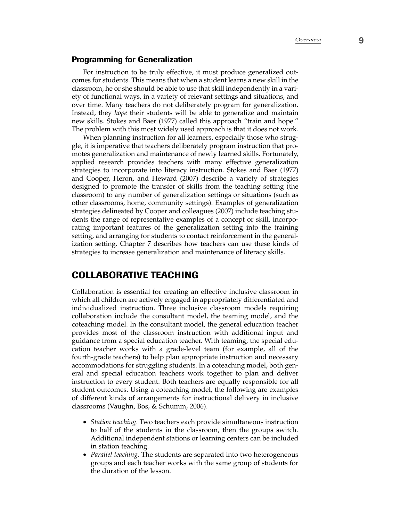### **Programming for Generalization**

For instruction to be truly effective, it must produce generalized outcomes for students. This means that when a student learns a new skill in the classroom, he or she should be able to use that skill independently in a variety of functional ways, in a variety of relevant settings and situations, and over time. Many teachers do not deliberately program for generalization. Instead, they *hope* their students will be able to generalize and maintain new skills. Stokes and Baer (1977) called this approach "train and hope." The problem with this most widely used approach is that it does not work.

When planning instruction for all learners, especially those who struggle, it is imperative that teachers deliberately program instruction that promotes generalization and maintenance of newly learned skills. Fortunately, applied research provides teachers with many effective generalization strategies to incorporate into literacy instruction. Stokes and Baer (1977) and Cooper, Heron, and Heward (2007) describe a variety of strategies designed to promote the transfer of skills from the teaching setting (the classroom) to any number of generalization settings or situations (such as other classrooms, home, community settings). Examples of generalization strategies delineated by Cooper and colleagues (2007) include teaching students the range of representative examples of a concept or skill, incorporating important features of the generalization setting into the training setting, and arranging for students to contact reinforcement in the generalization setting. Chapter 7 describes how teachers can use these kinds of strategies to increase generalization and maintenance of literacy skills.

# **COLLABORATIVE TEACHING**

Collaboration is essential for creating an effective inclusive classroom in which all children are actively engaged in appropriately differentiated and individualized instruction. Three inclusive classroom models requiring collaboration include the consultant model, the teaming model, and the coteaching model. In the consultant model, the general education teacher provides most of the classroom instruction with additional input and guidance from a special education teacher. With teaming, the special education teacher works with a grade-level team (for example, all of the fourth-grade teachers) to help plan appropriate instruction and necessary accommodations for struggling students. In a coteaching model, both general and special education teachers work together to plan and deliver instruction to every student. Both teachers are equally responsible for all student outcomes. Using a coteaching model, the following are examples of different kinds of arrangements for instructional delivery in inclusive classrooms (Vaughn, Bos, & Schumm, 2006).

- *Station teaching.* Two teachers each provide simultaneous instruction to half of the students in the classroom, then the groups switch. Additional independent stations or learning centers can be included in station teaching.
- *Parallel teaching.* The students are separated into two heterogeneous groups and each teacher works with the same group of students for the duration of the lesson.